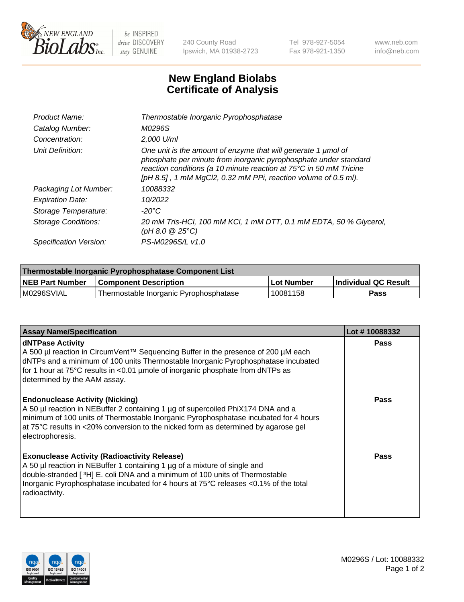

 $be$  INSPIRED drive DISCOVERY stay GENUINE

240 County Road Ipswich, MA 01938-2723 Tel 978-927-5054 Fax 978-921-1350 www.neb.com info@neb.com

## **New England Biolabs Certificate of Analysis**

| Product Name:              | Thermostable Inorganic Pyrophosphatase                                                                                                                                                                                                                                    |
|----------------------------|---------------------------------------------------------------------------------------------------------------------------------------------------------------------------------------------------------------------------------------------------------------------------|
| Catalog Number:            | M0296S                                                                                                                                                                                                                                                                    |
| Concentration:             | $2.000$ U/ml                                                                                                                                                                                                                                                              |
| Unit Definition:           | One unit is the amount of enzyme that will generate 1 µmol of<br>phosphate per minute from inorganic pyrophosphate under standard<br>reaction conditions (a 10 minute reaction at 75°C in 50 mM Tricine<br>[pH 8.5], 1 mM MgCl2, 0.32 mM PPi, reaction volume of 0.5 ml). |
| Packaging Lot Number:      | 10088332                                                                                                                                                                                                                                                                  |
| <b>Expiration Date:</b>    | 10/2022                                                                                                                                                                                                                                                                   |
| Storage Temperature:       | $-20^{\circ}$ C                                                                                                                                                                                                                                                           |
| <b>Storage Conditions:</b> | 20 mM Tris-HCl, 100 mM KCl, 1 mM DTT, 0.1 mM EDTA, 50 % Glycerol,<br>(pH 8.0 $@25°C$ )                                                                                                                                                                                    |
| Specification Version:     | PS-M0296S/L v1.0                                                                                                                                                                                                                                                          |

| Thermostable Inorganic Pyrophosphatase Component List |                                        |              |                             |  |
|-------------------------------------------------------|----------------------------------------|--------------|-----------------------------|--|
| <b>NEB Part Number</b>                                | <b>Component Description</b>           | ، Lot Number | <b>Individual QC Result</b> |  |
| M0296SVIAL                                            | Thermostable Inorganic Pyrophosphatase | 10081158     | <b>Pass</b>                 |  |

| <b>Assay Name/Specification</b>                                                                                                                                                                                                                                                                                             | Lot #10088332 |
|-----------------------------------------------------------------------------------------------------------------------------------------------------------------------------------------------------------------------------------------------------------------------------------------------------------------------------|---------------|
| <b>dNTPase Activity</b><br>A 500 µl reaction in CircumVent™ Sequencing Buffer in the presence of 200 µM each<br>dNTPs and a minimum of 100 units Thermostable Inorganic Pyrophosphatase incubated<br>for 1 hour at 75°C results in <0.01 µmole of inorganic phosphate from dNTPs as<br>determined by the AAM assay.         | <b>Pass</b>   |
| <b>Endonuclease Activity (Nicking)</b><br>A 50 µl reaction in NEBuffer 2 containing 1 µg of supercoiled PhiX174 DNA and a<br>minimum of 100 units of Thermostable Inorganic Pyrophosphatase incubated for 4 hours<br>at 75°C results in <20% conversion to the nicked form as determined by agarose gel<br>electrophoresis. | <b>Pass</b>   |
| <b>Exonuclease Activity (Radioactivity Release)</b><br>A 50 µl reaction in NEBuffer 1 containing 1 µg of a mixture of single and<br>double-stranded [3H] E. coli DNA and a minimum of 100 units of Thermostable<br>Inorganic Pyrophosphatase incubated for 4 hours at 75°C releases <0.1% of the total<br>radioactivity.    | <b>Pass</b>   |